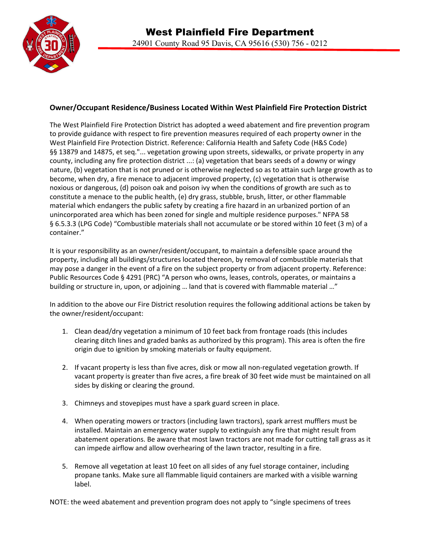

## **Owner/Occupant Residence/Business Located Within West Plainfield Fire Protection District**

The West Plainfield Fire Protection District has adopted a weed abatement and fire prevention program to provide guidance with respect to fire prevention measures required of each property owner in the West Plainfield Fire Protection District. Reference: California Health and Safety Code (H&S Code) §§ 13879 and 14875, et seq."... vegetation growing upon streets, sidewalks, or private property in any county, including any fire protection district ...: (a) vegetation that bears seeds of a downy or wingy nature, (b) vegetation that is not pruned or is otherwise neglected so as to attain such large growth as to become, when dry, a fire menace to adjacent improved property, (c) vegetation that is otherwise noxious or dangerous, (d) poison oak and poison ivy when the conditions of growth are such as to constitute a menace to the public health, (e) dry grass, stubble, brush, litter, or other flammable material which endangers the public safety by creating a fire hazard in an urbanized portion of an unincorporated area which has been zoned for single and multiple residence purposes." NFPA 58 § 6.5.3.3 (LPG Code) "Combustible materials shall not accumulate or be stored within 10 feet (3 m) of a container."

It is your responsibility as an owner/resident/occupant, to maintain a defensible space around the property, including all buildings/structures located thereon, by removal of combustible materials that may pose a danger in the event of a fire on the subject property or from adjacent property. Reference: Public Resources Code § 4291 (PRC) "A person who owns, leases, controls, operates, or maintains a building or structure in, upon, or adjoining ... land that is covered with flammable material ..."

In addition to the above our Fire District resolution requires the following additional actions be taken by the owner/resident/occupant:

- 1. Clean dead/dry vegetation a minimum of 10 feet back from frontage roads (this includes clearing ditch lines and graded banks as authorized by this program). This area is often the fire origin due to ignition by smoking materials or faulty equipment.
- 2. If vacant property is less than five acres, disk or mow all non-regulated vegetation growth. If vacant property is greater than five acres, a fire break of 30 feet wide must be maintained on all sides by disking or clearing the ground.
- 3. Chimneys and stovepipes must have a spark guard screen in place.
- 4. When operating mowers or tractors (including lawn tractors), spark arrest mufflers must be installed. Maintain an emergency water supply to extinguish any fire that might result from abatement operations. Be aware that most lawn tractors are not made for cutting tall grass as it can impede airflow and allow overhearing of the lawn tractor, resulting in a fire.
- 5. Remove all vegetation at least 10 feet on all sides of any fuel storage container, including propane tanks. Make sure all flammable liquid containers are marked with a visible warning label.

NOTE: the weed abatement and prevention program does not apply to "single specimens of trees